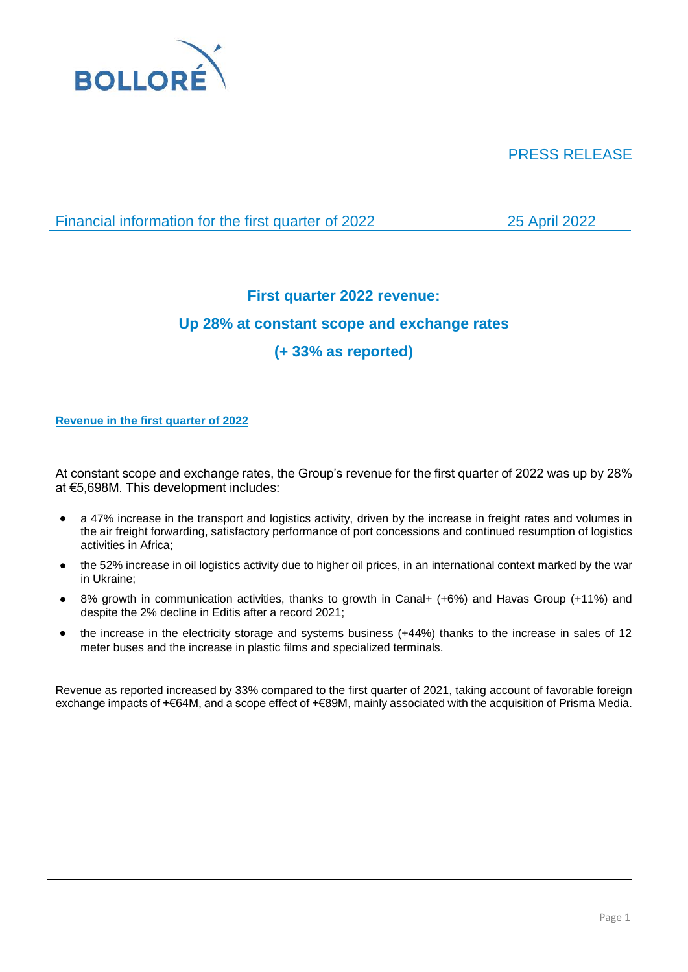

# PRESS RELEASE

Financial information for the first quarter of 2022 25 April 2022

# **First quarter 2022 revenue:**

# **Up 28% at constant scope and exchange rates**

# **(+ 33% as reported)**

# **Revenue in the first quarter of 2022**

At constant scope and exchange rates, the Group's revenue for the first quarter of 2022 was up by 28% at €5,698M. This development includes:

- a 47% increase in the transport and logistics activity, driven by the increase in freight rates and volumes in the air freight forwarding, satisfactory performance of port concessions and continued resumption of logistics activities in Africa;
- the 52% increase in oil logistics activity due to higher oil prices, in an international context marked by the war in Ukraine;
- 8% growth in communication activities, thanks to growth in Canal+ (+6%) and Havas Group (+11%) and despite the 2% decline in Editis after a record 2021;
- the increase in the electricity storage and systems business (+44%) thanks to the increase in sales of 12 meter buses and the increase in plastic films and specialized terminals.

Revenue as reported increased by 33% compared to the first quarter of 2021, taking account of favorable foreign exchange impacts of +€64M, and a scope effect of +€89M, mainly associated with the acquisition of Prisma Media.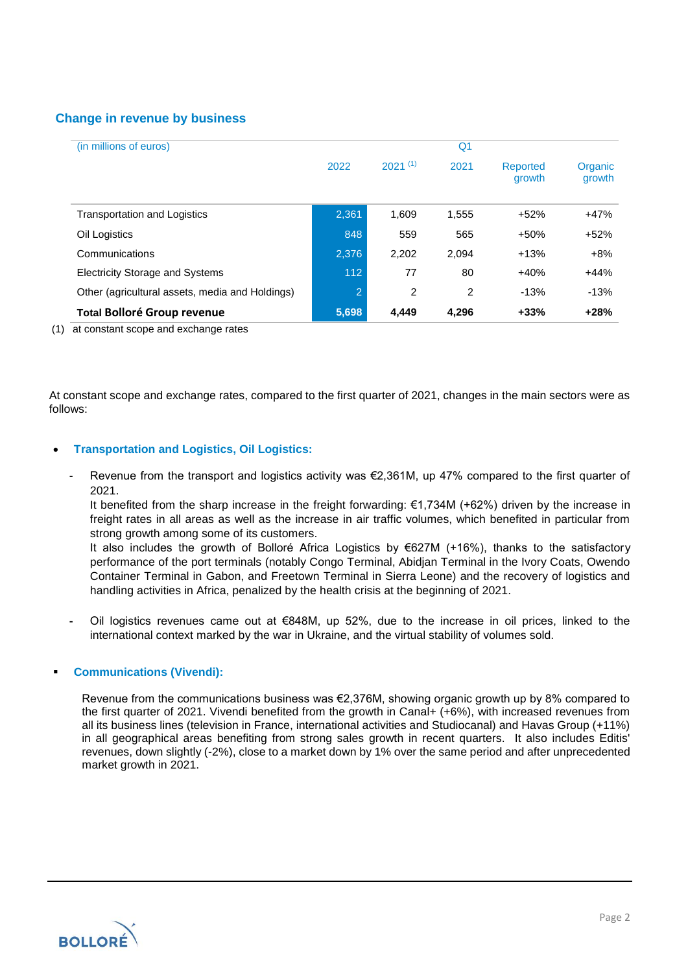# **Change in revenue by business**

| (in millions of euros)                          | Q <sub>1</sub> |                |       |                    |                   |
|-------------------------------------------------|----------------|----------------|-------|--------------------|-------------------|
|                                                 | 2022           | $2021^{(1)}$   | 2021  | Reported<br>growth | Organic<br>growth |
| <b>Transportation and Logistics</b>             | 2,361          | 1.609          | 1,555 | $+52%$             | $+47%$            |
| Oil Logistics                                   | 848            | 559            | 565   | $+50%$             | $+52%$            |
| Communications                                  | 2.376          | 2.202          | 2,094 | $+13%$             | $+8%$             |
| <b>Electricity Storage and Systems</b>          | 112            | 77             | 80    | $+40%$             | $+44%$            |
| Other (agricultural assets, media and Holdings) | $\overline{2}$ | $\overline{c}$ | 2     | $-13%$             | $-13%$            |
| <b>Total Bolloré Group revenue</b>              | 5,698          | 4.449          | 4.296 | $+33%$             | $+28%$            |

(1) at constant scope and exchange rates

At constant scope and exchange rates, compared to the first quarter of 2021, changes in the main sectors were as follows:

## • **Transportation and Logistics, Oil Logistics:**

- Revenue from the transport and logistics activity was €2,361M, up 47% compared to the first quarter of 2021.

It benefited from the sharp increase in the freight forwarding:  $\epsilon$ 1,734M (+62%) driven by the increase in freight rates in all areas as well as the increase in air traffic volumes, which benefited in particular from strong growth among some of its customers.

It also includes the growth of Bolloré Africa Logistics by €627M (+16%), thanks to the satisfactory performance of the port terminals (notably Congo Terminal, Abidjan Terminal in the Ivory Coats, Owendo Container Terminal in Gabon, and Freetown Terminal in Sierra Leone) and the recovery of logistics and handling activities in Africa, penalized by the health crisis at the beginning of 2021.

**-** Oil logistics revenues came out at €848M, up 52%, due to the increase in oil prices, linked to the international context marked by the war in Ukraine, and the virtual stability of volumes sold.

## **Communications (Vivendi):**

Revenue from the communications business was €2,376M, showing organic growth up by 8% compared to the first quarter of 2021. Vivendi benefited from the growth in Canal+ (+6%), with increased revenues from all its business lines (television in France, international activities and Studiocanal) and Havas Group (+11%) in all geographical areas benefiting from strong sales growth in recent quarters. It also includes Editis' revenues, down slightly (-2%), close to a market down by 1% over the same period and after unprecedented market growth in 2021.

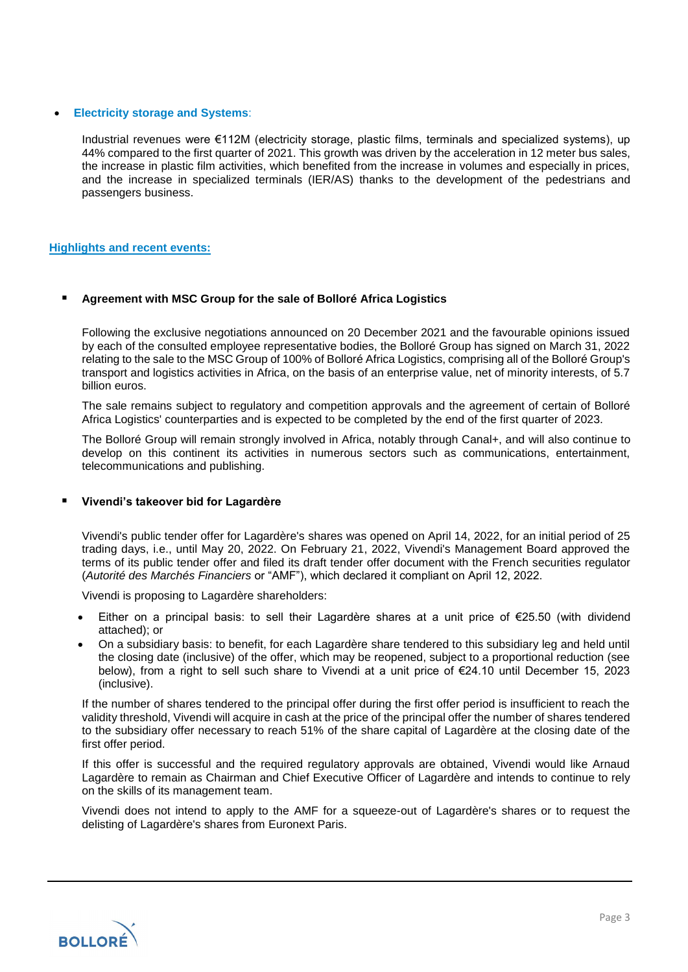#### • **Electricity storage and Systems**:

Industrial revenues were €112M (electricity storage, plastic films, terminals and specialized systems), up 44% compared to the first quarter of 2021. This growth was driven by the acceleration in 12 meter bus sales, the increase in plastic film activities, which benefited from the increase in volumes and especially in prices, and the increase in specialized terminals (IER/AS) thanks to the development of the pedestrians and passengers business.

### **Highlights and recent events:**

### ▪ **Agreement with MSC Group for the sale of Bolloré Africa Logistics**

Following the exclusive negotiations announced on 20 December 2021 and the favourable opinions issued by each of the consulted employee representative bodies, the Bolloré Group has signed on March 31, 2022 relating to the sale to the MSC Group of 100% of Bolloré Africa Logistics, comprising all of the Bolloré Group's transport and logistics activities in Africa, on the basis of an enterprise value, net of minority interests, of 5.7 billion euros.

The sale remains subject to regulatory and competition approvals and the agreement of certain of Bolloré Africa Logistics' counterparties and is expected to be completed by the end of the first quarter of 2023.

The Bolloré Group will remain strongly involved in Africa, notably through Canal+, and will also continue to develop on this continent its activities in numerous sectors such as communications, entertainment, telecommunications and publishing.

#### ▪ **Vivendi's takeover bid for Lagardère**

Vivendi's public tender offer for Lagardère's shares was opened on April 14, 2022, for an initial period of 25 trading days, i.e., until May 20, 2022. On February 21, 2022, Vivendi's Management Board approved the terms of its public tender offer and filed its draft tender offer document with the French securities regulator (*Autorité des Marchés Financiers* or "AMF"), which declared it compliant on April 12, 2022.

Vivendi is proposing to Lagardère shareholders:

- Either on a principal basis: to sell their Lagardère shares at a unit price of  $E$ 25.50 (with dividend attached); or
- On a subsidiary basis: to benefit, for each Lagardère share tendered to this subsidiary leg and held until the closing date (inclusive) of the offer, which may be reopened, subject to a proportional reduction (see below), from a right to sell such share to Vivendi at a unit price of €24.10 until December 15, 2023 (inclusive).

If the number of shares tendered to the principal offer during the first offer period is insufficient to reach the validity threshold, Vivendi will acquire in cash at the price of the principal offer the number of shares tendered to the subsidiary offer necessary to reach 51% of the share capital of Lagardère at the closing date of the first offer period.

If this offer is successful and the required regulatory approvals are obtained, Vivendi would like Arnaud Lagardère to remain as Chairman and Chief Executive Officer of Lagardère and intends to continue to rely on the skills of its management team.

Vivendi does not intend to apply to the AMF for a squeeze-out of Lagardère's shares or to request the delisting of Lagardère's shares from Euronext Paris.